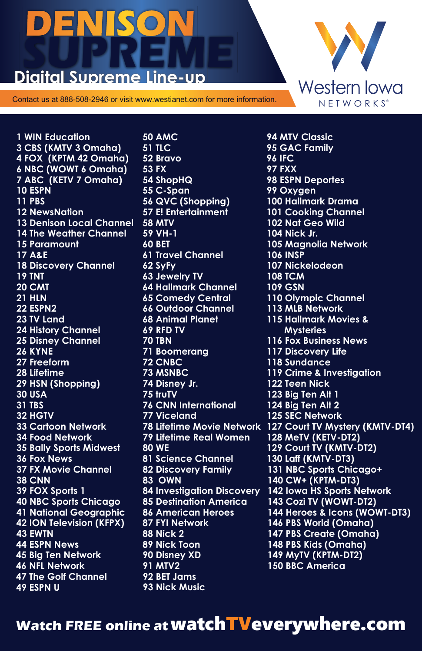## DENISO **Digital Supreme Line-up**

Contact us at 888-508-2946 or visit www.westianet.com for more information.

**1 WIN Education 3 CBS (KMTV 3 Omaha) 4 FOX (KPTM 42 Omaha) 6 NBC (WOWT 6 Omaha) 7 ABC (KETV 7 Omaha) 10 ESPN 11 PBS 12 NewsNation 13 Denison Local Channel 14 The Weather Channel 15 Paramount 17 A&E 18 Discovery Channel 19 TNT 20 CMT 21 HLN 22 ESPN2 23 TV Land 24 History Channel 25 Disney Channel 26 KYNE 27 Freeform 28 Lifetime 29 HSN (Shopping) 46 NFL Network 31 TBS 32 HGTV 33 Cartoon Network 34 Food Network 35 Bally Sports Midwest 36 Fox News 37 FX Movie Channel 39 FOX Sports 1 41 National Geographic 42 ION Television (KFPX) 43 EWTN 45 Big Ten Network 30 USA 47 The Golf Channel 49 ESPN U 44 ESPN News 38 CNN 40 NBC Sports Chicago** 

**50 AMC 51 TLC 52 Bravo 53 FX 54 ShopHQ 55 C-Span 56 QVC (Shopping) 57 E! Entertainment 58 MTV 59 VH-1 60 BET 61 Travel Channel 62 SyFy 64 Hallmark Channel 65 Comedy Central 66 Outdoor Channel 68 Animal Planet 69 RFD TV 70 TBN 71 Boomerang 72 CNBC 73 MSNBC 74 Disney Jr. 75 truTV 76 CNN International 77 Viceland 79 Lifetime Real Women 80 WE 81 Science Channel 82 Discovery Family 83 OWN 84 Investigation Discovery 85 Destination America 86 American Heroes 87 FYI Network 88 Nick 2 89 Nick Toon 90 Disney XD 91 MTV2 92 BET Jams 93 Nick Music 63 Jewelry TV**

**102 Nat Geo Wild 78 Lifetime Movie Network 127 Court TV Mystery (KMTV-DT4) 94 MTV Classic 95 GAC Family 96 IFC 98 ESPN Deportes 99 Oxygen 101 Cooking Channel 104 Nick Jr. 105 Magnolia Network 108 TCM 109 GSN 110 Olympic Channel 113 MLB Network 115 Hallmark Movies & Mysteries 116 Fox Business News 117 Discovery Life 119 Crime & Investigation 122 Teen Nick 123 Big Ten Alt 1 124 Big Ten Alt 2 125 SEC Network 128 MeTV (KETV-DT2) 129 Court TV (KMTV-DT2) 130 Laff (KMTV-DT3) 131 NBC Sports Chicago+ 97 FXX 100 Hallmark Drama 106 INSP 140 CW+ (KPTM-DT3) 143 Cozi TV (WOWT-DT2) 144 Heroes & Icons (WOWT-DT3) 146 PBS World (Omaha) 147 PBS Create (Omaha) 148 PBS Kids (Omaha) 149 MyTV (KPTM-DT2) 107 Nickelodeon 142 Iowa HS Sports Network 118 Sundance 150 BBC America**

Western Iowa  $N E T W O R K S<sup>°</sup>$